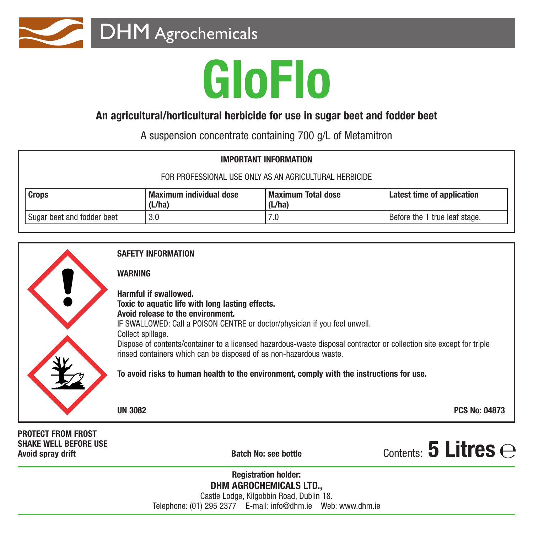

# **GloFlo**

### **An agricultural/horticultural herbicide for use in sugar beet and fodder beet**

A suspension concentrate containing 700 g/L of Metamitron

| <b>IMPORTANT INFORMATION</b>                           |                                          |                                     |                               |
|--------------------------------------------------------|------------------------------------------|-------------------------------------|-------------------------------|
| FOR PROFESSIONAL USE ONLY AS AN AGRICULTURAL HERBICIDE |                                          |                                     |                               |
| Crops                                                  | <b>Maximum individual dose</b><br>(L/ha) | <b>Maximum Total dose</b><br>(L/ha) | Latest time of application    |
| Sugar beet and fodder beet                             | 3.0                                      | 7.0                                 | Before the 1 true leaf stage. |



**DHM AGROCHEMICALS LTD.,** Castle Lodge, Kilgobbin Road, Dublin 18. Telephone: (01) 295 2377 E-mail: info@dhm.ie Web: www.dhm.ie